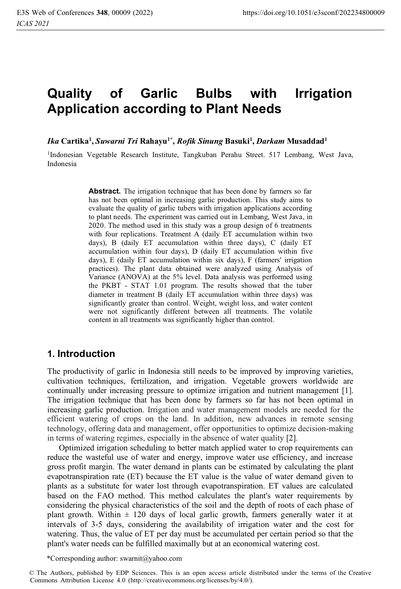# **Quality of Garlic Bulbs with Irrigation Application according to Plant Needs**

*Ika* **Cartika1 ,** *Suwarni Tri* **Rahayu1\*,** *Rofik Sinung* **Basuki1 ,** *Darkam* **Musaddad1** 

1Indonesian Vegetable Research Institute, Tangkuban Perahu Street. 517 Lembang, West Java, Indonesia

> Abstract. The irrigation technique that has been done by farmers so far has not been optimal in increasing garlic production. This study aims to evaluate the quality of garlic tubers with irrigation applications according to plant needs. The experiment was carried out in Lembang, West Java, in 2020. The method used in this study was a group design of 6 treatments with four replications. Treatment A (daily ET accumulation within two days), B (daily ET accumulation within three days), C (daily ET accumulation within four days), D (daily ET accumulation within five days), E (daily ET accumulation within six days), F (farmers' irrigation practices). The plant data obtained were analyzed using Analysis of Variance (ANOVA) at the 5% level. Data analysis was performed using the PKBT - STAT 1.01 program. The results showed that the tuber diameter in treatment B (daily ET accumulation within three days) was significantly greater than control. Weight, weight loss, and water content were not significantly different between all treatments. The volatile content in all treatments was significantly higher than control.

## **1. Introduction**

The productivity of garlic in Indonesia still needs to be improved by improving varieties, cultivation techniques, fertilization, and irrigation. Vegetable growers worldwide are continually under increasing pressure to optimize irrigation and nutrient management [1]. The irrigation technique that has been done by farmers so far has not been optimal in increasing garlic production. Irrigation and water management models are needed for the efficient watering of crops on the land. In addition, new advances in remote sensing technology, offering data and management, offer opportunities to optimize decision-making in terms of watering regimes, especially in the absence of water quality [2].

Optimized irrigation scheduling to better match applied water to crop requirements can reduce the wasteful use of water and energy, improve water use efficiency, and increase gross profit margin. The water demand in plants can be estimated by calculating the plant evapotranspiration rate (ET) because the ET value is the value of water demand given to plants as a substitute for water lost through evapotranspiration. ET values are calculated based on the FAO method. This method calculates the plant's water requirements by considering the physical characteristics of the soil and the depth of roots of each phase of plant growth. Within  $\pm$  120 days of local garlic growth, farmers generally water it at intervals of 3-5 days, considering the availability of irrigation water and the cost for watering. Thus, the value of ET per day must be accumulated per certain period so that the plant's water needs can be fulfilled maximally but at an economical watering cost.

\*Corresponding author: swarnit@yahoo.com

<sup>©</sup> The Authors, published by EDP Sciences. This is an open access article distributed under the terms of the Creative Commons Attribution License 4.0 (http://creativecommons.org/licenses/by/4.0/).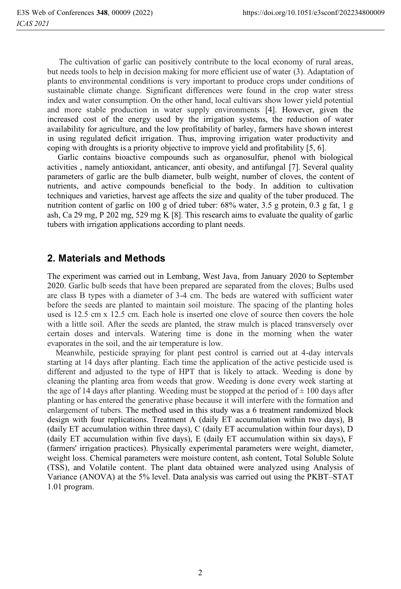The cultivation of garlic can positively contribute to the local economy of rural areas, but needs tools to help in decision making for more efficient use of water (3). Adaptation of plants to environmental conditions is very important to produce crops under conditions of sustainable climate change. Significant differences were found in the crop water stress index and water consumption. On the other hand, local cultivars show lower yield potential and more stable production in water supply environments [4]. However, given the increased cost of the energy used by the irrigation systems, the reduction of water availability for agriculture, and the low profitability of barley, farmers have shown interest in using regulated deficit irrigation. Thus, improving irrigation water productivity and coping with droughts is a priority objective to improve yield and profitability [5, 6].

 Garlic contains bioactive compounds such as organosulfur, phenol with biological activities , namely antioxidant, anticancer, anti obesity, and antifungal [7]. Several quality parameters of garlic are the bulb diameter, bulb weight, number of cloves, the content of nutrients, and active compounds beneficial to the body. In addition to cultivation techniques and varieties, harvest age affects the size and quality of the tuber produced. The nutrition content of garlic on 100 g of dried tuber: 68% water, 3.5 g protein, 0.3 g fat, 1 g ash, Ca 29 mg, P 202 mg, 529 mg K [8]. This research aims to evaluate the quality of garlic tubers with irrigation applications according to plant needs.

#### **2. Materials and Methods**

The experiment was carried out in Lembang, West Java, from January 2020 to September 2020. Garlic bulb seeds that have been prepared are separated from the cloves; Bulbs used are class B types with a diameter of 3-4 cm. The beds are watered with sufficient water before the seeds are planted to maintain soil moisture. The spacing of the planting holes used is 12.5 cm x 12.5 cm. Each hole is inserted one clove of source then covers the hole with a little soil. After the seeds are planted, the straw mulch is placed transversely over certain doses and intervals. Watering time is done in the morning when the water evaporates in the soil, and the air temperature is low.

 Meanwhile, pesticide spraying for plant pest control is carried out at 4-day intervals starting at 14 days after planting. Each time the application of the active pesticide used is different and adjusted to the type of HPT that is likely to attack. Weeding is done by cleaning the planting area from weeds that grow. Weeding is done every week starting at the age of 14 days after planting. Weeding must be stopped at the period of  $\pm$  100 days after planting or has entered the generative phase because it will interfere with the formation and enlargement of tubers. The method used in this study was a 6 treatment randomized block design with four replications. Treatment A (daily ET accumulation within two days), B (daily ET accumulation within three days), C (daily ET accumulation within four days), D (daily ET accumulation within five days), E (daily ET accumulation within six days), F (farmers' irrigation practices). Physically experimental parameters were weight, diameter, weight loss. Chemical parameters were moisture content, ash content, Total Soluble Solute (TSS), and Volatile content. The plant data obtained were analyzed using Analysis of Variance (ANOVA) at the 5% level. Data analysis was carried out using the PKBT–STAT 1.01 program.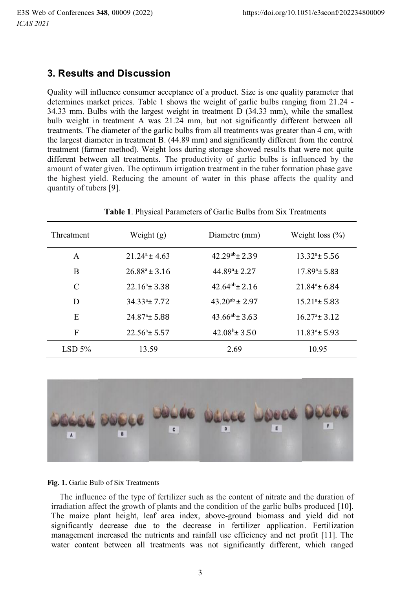## **3. Results and Discussion**

Quality will influence consumer acceptance of a product. Size is one quality parameter that determines market prices. Table 1 shows the weight of garlic bulbs ranging from 21.24 - 34.33 mm. Bulbs with the largest weight in treatment D (34.33 mm), while the smallest bulb weight in treatment A was 21.24 mm, but not significantly different between all treatments. The diameter of the garlic bulbs from all treatments was greater than 4 cm, with the largest diameter in treatment B. (44.89 mm) and significantly different from the control treatment (farmer method). Weight loss during storage showed results that were not quite different between all treatments. The productivity of garlic bulbs is influenced by the amount of water given. The optimum irrigation treatment in the tuber formation phase gave the highest yield. Reducing the amount of water in this phase affects the quality and quantity of tubers [9].

| Threatment | Weight (g)             | Diametre (mm)            | Weight loss $(\% )$    |
|------------|------------------------|--------------------------|------------------------|
| A          | $21.24^a \pm 4.63$     | $42.29^{ab}$ ± 2.39      | $13.32^{\circ}$ ± 5.56 |
| B          | $26.88^a \pm 3.16$     | $44.89^{\circ}$ ± 2.27   | $17.89^{\circ}$ ± 5.83 |
| C          | $22.16^{\circ}$ + 3.38 | $42.64^{ab} \pm 2.16$    | $21.84^{\circ}$ ± 6.84 |
| D          | $34.33^a \pm 7.72$     | $43.20^{ab} \pm 2.97$    | $15.21^{\circ}$ ± 5.83 |
| E          | $24.87^{\circ}$ ± 5.88 | $43.66^{ab} \pm 3.63$    | $16.27^{\circ}$ ± 3.12 |
| F          | $22.56^{\circ}$ ± 5.57 | $42.08^{\rm b} \pm 3.50$ | $11.83^a \pm 5.93$     |
| LSD 5%     | 13.59                  | 2.69                     | 10.95                  |

**Table 1**. Physical Parameters of Garlic Bulbs from Six Treatments



#### **Fig. 1.** Garlic Bulb of Six Treatments

 The influence of the type of fertilizer such as the content of nitrate and the duration of irradiation affect the growth of plants and the condition of the garlic bulbs produced [10]. The maize plant height, leaf area index, above-ground biomass and yield did not significantly decrease due to the decrease in fertilizer application. Fertilization management increased the nutrients and rainfall use efficiency and net profit [11]. The water content between all treatments was not significantly different, which ranged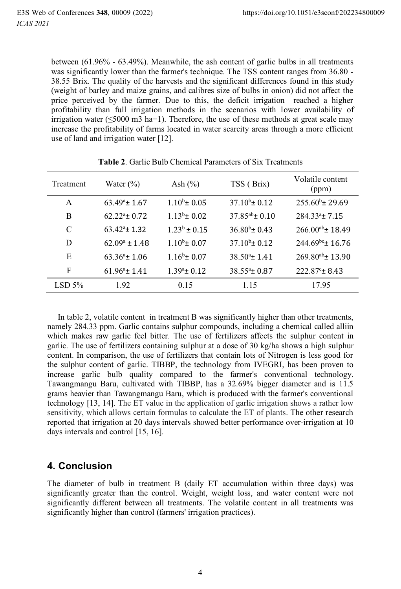between (61.96% - 63.49%). Meanwhile, the ash content of garlic bulbs in all treatments was significantly lower than the farmer's technique. The TSS content ranges from 36.80 - 38.55 Brix. The quality of the harvests and the significant differences found in this study (weight of barley and maize grains, and calibres size of bulbs in onion) did not affect the price perceived by the farmer. Due to this, the deficit irrigation reached a higher profitability than full irrigation methods in the scenarios with lower availability of irrigation water (≤5000 m3 ha−1). Therefore, the use of these methods at great scale may increase the profitability of farms located in water scarcity areas through a more efficient use of land and irrigation water [12].

| Treatment | Water $(\% )$               | Ash $(\% )$         | TSS (Brix)             | Volatile content<br>(ppm) |
|-----------|-----------------------------|---------------------|------------------------|---------------------------|
| A         | $63.49^{\circ}$ ± 1.67      | $1.10^{b}$ ± 0.05   | $37.10^{b} \pm 0.12$   | $255.60^{\circ}$ ± 29.69  |
| B         | $62.22^{\mathrm{a}}$ + 0.72 | $1.13b$ ± 0.02      | $37.85^{ab}$ ± 0.10    | $284.33^{\circ}$ ± 7.15   |
| C         | $63.42^{\circ}$ ± 1.32      | $1.23^b \pm 0.15$   | $36.80^{\circ}$ ± 0.43 | $266.00^{ab}$ ± 18.49     |
| D         | $62.09^a \pm 1.48$          | $1.10^{b} \pm 0.07$ | $37.10^{b} \pm 0.12$   | $244.69^{bc}$ ± 16.76     |
| E         | $63.36^{\circ}$ ± 1.06      | $1.16^b \pm 0.07$   | $38.50^{\circ}$ ± 1.41 | $269.80^{ab}$ ± 13.90     |
| F         | $61.96^{\circ}$ ± 1.41      | $1.39^a \pm 0.12$   | $38.55^{\circ}$ ± 0.87 | $222.87^{\circ}$ ± 8.43   |
| LSD 5%    | 1.92                        | 0.15                | 1.15                   | 17.95                     |

| <b>Table 2.</b> Garlic Bulb Chemical Parameters of Six Treatments |  |
|-------------------------------------------------------------------|--|
|-------------------------------------------------------------------|--|

 In table 2, volatile content in treatment B was significantly higher than other treatments, namely 284.33 ppm. Garlic contains sulphur compounds, including a chemical called alliin which makes raw garlic feel bitter. The use of fertilizers affects the sulphur content in garlic. The use of fertilizers containing sulphur at a dose of 30 kg/ha shows a high sulphur content. In comparison, the use of fertilizers that contain lots of Nitrogen is less good for the sulphur content of garlic. TIBBP, the technology from IVEGRI, has been proven to increase garlic bulb quality compared to the farmer's conventional technology. Tawangmangu Baru, cultivated with TIBBP, has a 32.69% bigger diameter and is 11.5 grams heavier than Tawangmangu Baru, which is produced with the farmer's conventional technology [13, 14]. The ET value in the application of garlic irrigation shows a rather low sensitivity, which allows certain formulas to calculate the ET of plants. The other research reported that irrigation at 20 days intervals showed better performance over-irrigation at 10 days intervals and control [15, 16].

## **4. Conclusion**

The diameter of bulb in treatment B (daily ET accumulation within three days) was significantly greater than the control. Weight, weight loss, and water content were not significantly different between all treatments. The volatile content in all treatments was significantly higher than control (farmers' irrigation practices).